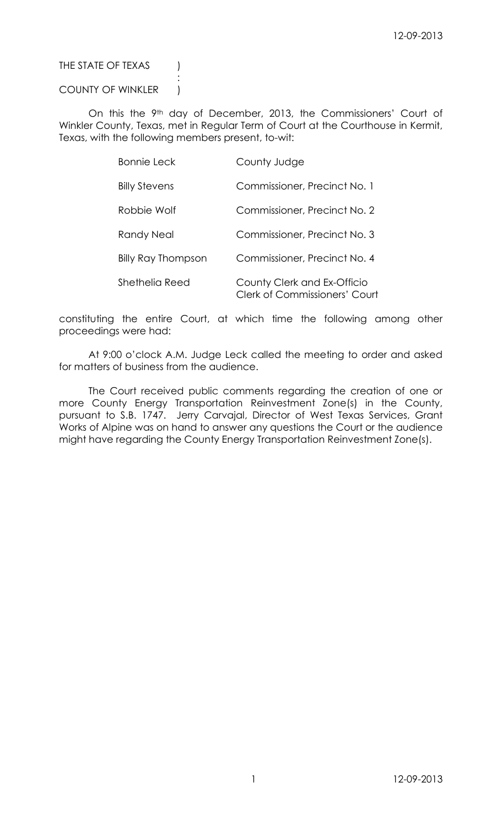# THE STATE OF TEXAS (

## COUNTY OF WINKLER |

:

On this the 9<sup>th</sup> day of December, 2013, the Commissioners' Court of Winkler County, Texas, met in Regular Term of Court at the Courthouse in Kermit, Texas, with the following members present, to-wit:

| <b>Bonnie Leck</b>        | County Judge                                                 |
|---------------------------|--------------------------------------------------------------|
| <b>Billy Stevens</b>      | Commissioner, Precinct No. 1                                 |
| Robbie Wolf               | Commissioner, Precinct No. 2                                 |
| Randy Neal                | Commissioner, Precinct No. 3                                 |
| <b>Billy Ray Thompson</b> | Commissioner, Precinct No. 4                                 |
| Shethelia Reed            | County Clerk and Ex-Officio<br>Clerk of Commissioners' Court |

constituting the entire Court, at which time the following among other proceedings were had:

At 9:00 o'clock A.M. Judge Leck called the meeting to order and asked for matters of business from the audience.

The Court received public comments regarding the creation of one or more County Energy Transportation Reinvestment Zone(s) in the County, pursuant to S.B. 1747. Jerry Carvajal, Director of West Texas Services, Grant Works of Alpine was on hand to answer any questions the Court or the audience might have regarding the County Energy Transportation Reinvestment Zone(s).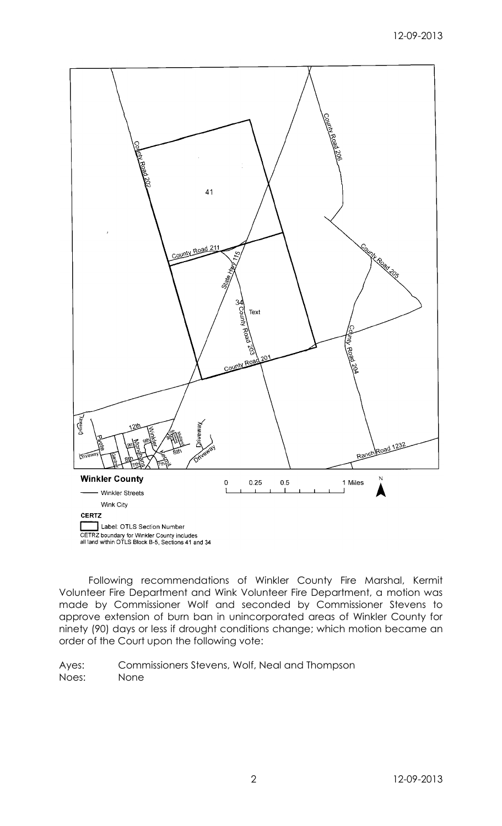

Following recommendations of Winkler County Fire Marshal, Kermit Volunteer Fire Department and Wink Volunteer Fire Department, a motion was made by Commissioner Wolf and seconded by Commissioner Stevens to approve extension of burn ban in unincorporated areas of Winkler County for ninety (90) days or less if drought conditions change; which motion became an order of the Court upon the following vote: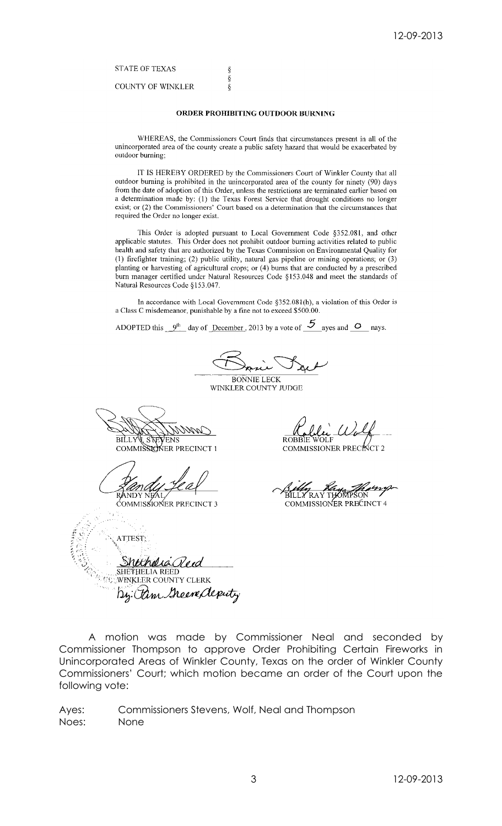**STATE OF TEXAS** 

**COUNTY OF WINKLER** 

#### ORDER PROHIBITING OUTDOOR BURNING

s<br>S

 $\delta$ 

WHEREAS, the Commissioners Court finds that circumstances present in all of the unincorporated area of the county create a public safety hazard that would be exacerbated by outdoor burning;

IT IS HEREBY ORDERED by the Commissioners Court of Winkler County that all outdoor burning is prohibited in the unincorporated area of the county for ninety (90) days from the date of adoption of this Order, unless the restrictions are terminated earlier based on a determination made by: (1) the Texas Forest Service that drought conditions no longer exist; or (2) the Commissioners' Court based on a determination that the circumstances that required the Order no longer exist.

This Order is adopted pursuant to Local Government Code §352.081, and other applicable statutes. This Order does not prohibit outdoor burning activities related to public health and safety that are authorized by the Texas Commission on Environmental Quality for (1) firefighter training; (2) public utility, natural gas pipeline or mining operations; or (3) planting or harvesting of agricultural crops; or (4) burns that are conducted by a prescribed burn manager certified under Natural Resources Code §153.048 and meet the standards of Natural Resources Code §153.047.

In accordance with Local Government Code §352.081(h), a violation of this Order is a Class C misdemeanor, punishable by a fine not to exceed \$500.00.

ADOPTED this  $9^{th}$  day of December, 2013 by a vote of  $5$  ayes and  $0$  nays.

**BONNIE LECK** 

WINKLER COUNTY JUDGE

BILLY STEVENS<br>COMMISSIONER PRECINCT 1

ĆOMMIS**S**IOŃER PRECINCT 3

R∩BÊ

COMMISSIONER PRECISCT 2

RAY COMMISSIONER PRECINCT 4

ATTEST: humalia SHËTHELIA REEL **WINKLER COUNTY CLERK** By: Pam Green deputy

A motion was made by Commissioner Neal and seconded by Commissioner Thompson to approve Order Prohibiting Certain Fireworks in Unincorporated Areas of Winkler County, Texas on the order of Winkler County Commissioners' Court; which motion became an order of the Court upon the following vote: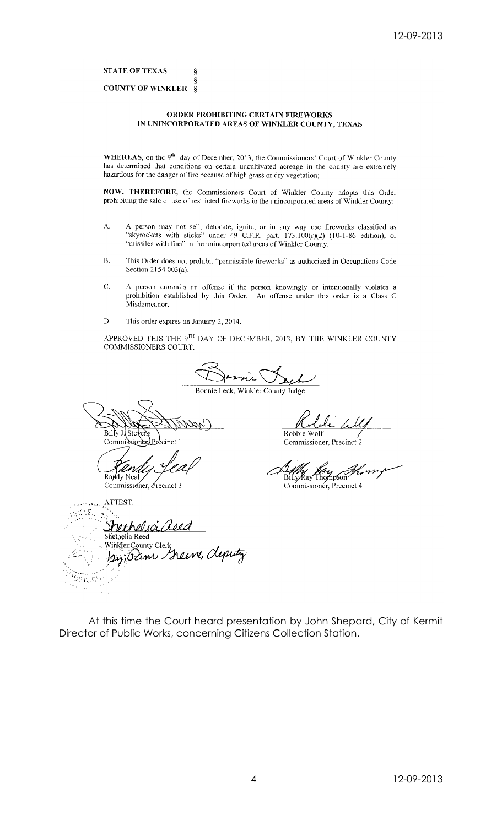**STATE OF TEXAS** 

#### ş **COUNTY OF WINKLER**  $\overline{\xi}$

ş

### ORDER PROHIBITING CERTAIN FIREWORKS IN UNINCORPORATED AREAS OF WINKLER COUNTY, TEXAS

WHEREAS, on the 9<sup>th</sup> day of December, 2013, the Commissioners' Court of Winkler County has determined that conditions on certain uncultivated acreage in the county are extremely hazardous for the danger of fire because of high grass or dry vegetation;

NOW, THEREFORE, the Commissioners Court of Winkler County adopts this Order prohibiting the sale or use of restricted fireworks in the unincorporated areas of Winkler County:

- A person may not sell, detonate, ignite, or in any way use fireworks classified as "skyrockets with sticks" under 49 C.F.R. part.  $173.100(r)(2)$  (10-1-86 edition), or A. "missiles with fins" in the unincorporated areas of Winkler County.
- $\overline{B}$ . This Order does not prohibit "permissible fireworks" as authorized in Occupations Code Section 2154.003(a).
- C. A person commits an offense if the person knowingly or intentionally violates a prohibition established by this Order. An offense under this order is a Class C Misdemeanor.
- This order expires on January 2, 2014. D.

APPROVED THIS THE 9TH DAY OF DECEMBER, 2013, BY THE WINKLER COUNTY COMMISSIONERS COURT.

Bonnie Leck, Winkler County Judge

Billy J Ste Commiss sione tinct 1

Raydy Neal Commissioner, Precinct 3

Robbie Wolf Commissioner, Precinct 2

Billy Ray Thompson Commissioner, Precinct 4

 $\cdots$ ydigy <u>nethelia aeea</u> Shethelia Reed Winkler:County Clerk Miker Councy Clerk Cleputy

At this time the Court heard presentation by John Shepard, City of Kermit Director of Public Works, concerning Citizens Collection Station.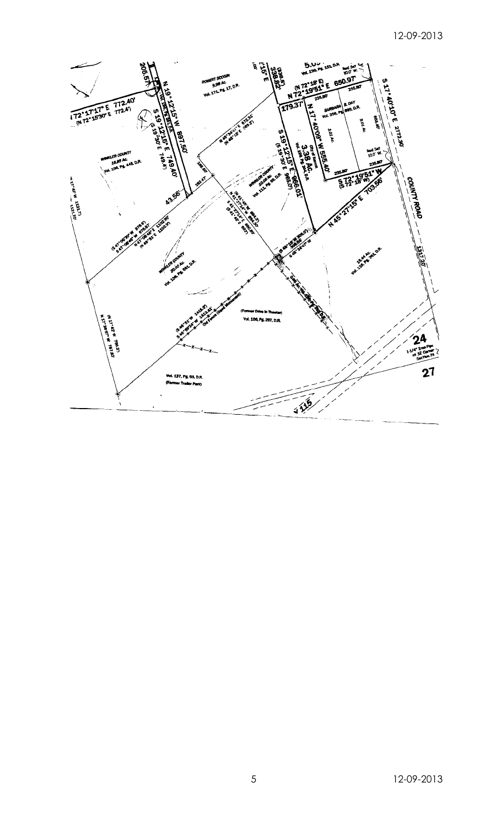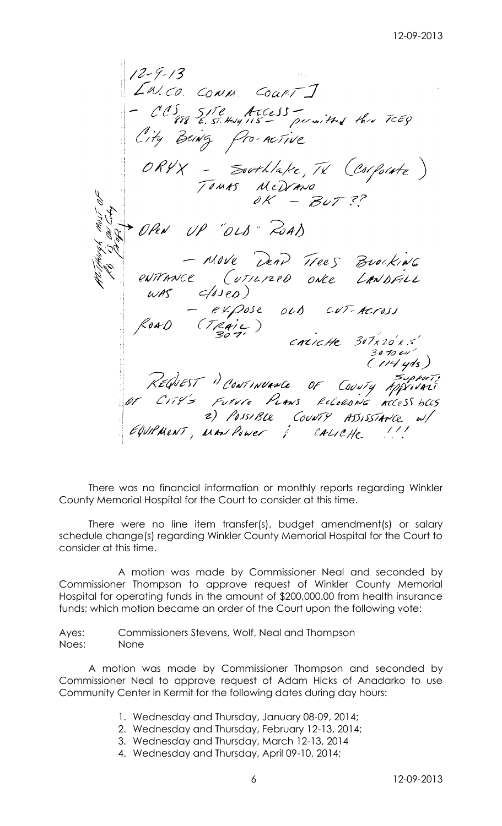$12 - 9 - 13$ EW.CO. COMM. COURT ] 15 SITE ACCESS -<br>188 E. ST. Huly 115 - permitted thre TCEQ City Being Pro-netive ORYX - Southlake, TX (Corporte)<br>Tours MeDrano<br>OK - BUT ?? UP "OLD" ROAD OPEN - NOVE DEAD Trees Brocking WAS  $C(13e)$ <br>  $- e\times 20se$  OLS CUT-ACTOSS<br>
FOAD (TRAIL)<br>
CALICALE 307x20'x.5<br>
CIPLEST "CONTINUANCE OF COUNTY APPRIME"<br>
OF CITY's FUTURE PLANS RECARDING ACCESS BCCS<br>
2) POSSIBLE COUNTY ASSISTANCE W/<br>
COUPMENT, MAN POWER & CA

There was no financial information or monthly reports regarding Winkler County Memorial Hospital for the Court to consider at this time.

There were no line item transfer(s), budget amendment(s) or salary schedule change(s) regarding Winkler County Memorial Hospital for the Court to consider at this time.

A motion was made by Commissioner Neal and seconded by Commissioner Thompson to approve request of Winkler County Memorial Hospital for operating funds in the amount of \$200,000.00 from health insurance funds; which motion became an order of the Court upon the following vote:

Ayes: Commissioners Stevens, Wolf, Neal and Thompson Noes: None

A motion was made by Commissioner Thompson and seconded by Commissioner Neal to approve request of Adam Hicks of Anadarko to use Community Center in Kermit for the following dates during day hours:

- 1. Wednesday and Thursday, January 08-09, 2014;
- 2. Wednesday and Thursday, February 12-13, 2014;
- 3. Wednesday and Thursday, March 12-13, 2014
- 4. Wednesday and Thursday, April 09-10, 2014;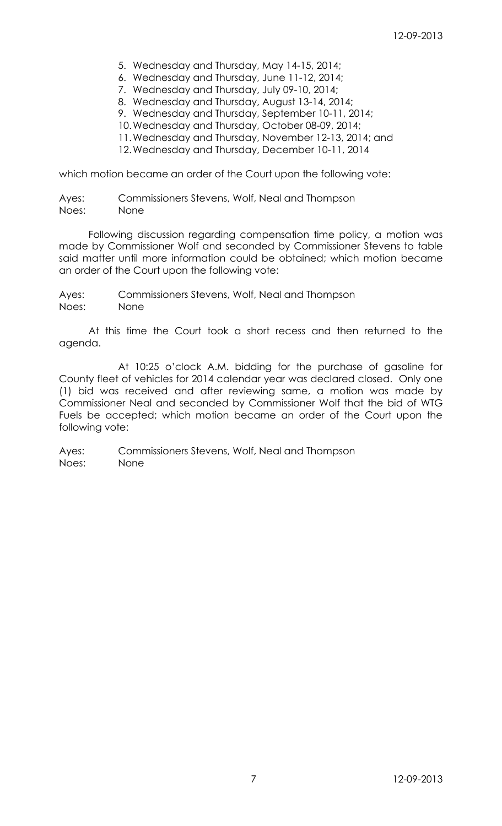- 5. Wednesday and Thursday, May 14-15, 2014;
- 6. Wednesday and Thursday, June 11-12, 2014;
- 7. Wednesday and Thursday, July 09-10, 2014;
- 8. Wednesday and Thursday, August 13-14, 2014;
- 9. Wednesday and Thursday, September 10-11, 2014;
- 10.Wednesday and Thursday, October 08-09, 2014;
- 11.Wednesday and Thursday, November 12-13, 2014; and
- 12.Wednesday and Thursday, December 10-11, 2014

which motion became an order of the Court upon the following vote:

Ayes: Commissioners Stevens, Wolf, Neal and Thompson Noes: None

Following discussion regarding compensation time policy, a motion was made by Commissioner Wolf and seconded by Commissioner Stevens to table said matter until more information could be obtained; which motion became an order of the Court upon the following vote:

Ayes: Commissioners Stevens, Wolf, Neal and Thompson Noes: None

At this time the Court took a short recess and then returned to the agenda.

At 10:25 o'clock A.M. bidding for the purchase of gasoline for County fleet of vehicles for 2014 calendar year was declared closed. Only one (1) bid was received and after reviewing same, a motion was made by Commissioner Neal and seconded by Commissioner Wolf that the bid of WTG Fuels be accepted; which motion became an order of the Court upon the following vote: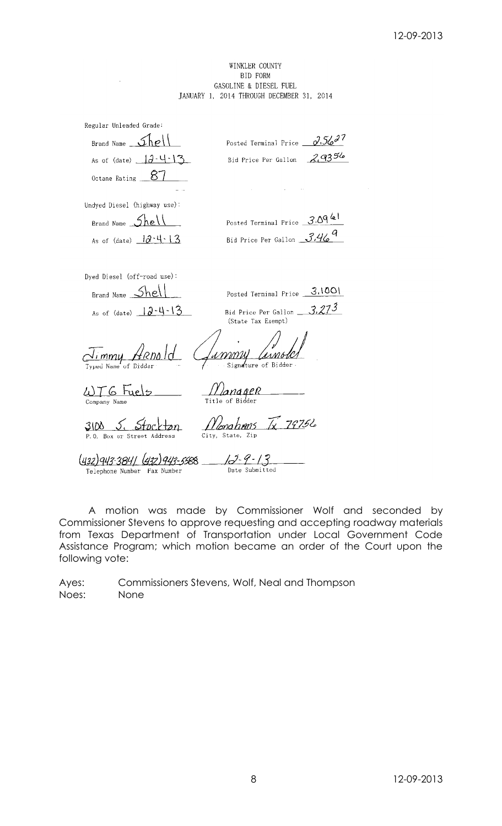## WINKLER COUNTY **BID FORM** GASOLINE & DIESEL FUEL JANUARY 1, 2014 THROUGH DECEMBER 31, 2014

| Regular Unleaded Grade:                                    |                                                               |
|------------------------------------------------------------|---------------------------------------------------------------|
| Brand Name $\mathcal{L}$ h $e^{\mathsf{I}}$                | Posted Terminal Price $\frac{\partial . 56^{27}}{\partial 1}$ |
| As of (date) $3-4-13$                                      | 29356<br>Bid Price Per Gallon                                 |
| Octane Rating ___ 87                                       |                                                               |
|                                                            |                                                               |
| Undyed Diesel (highway use):                               |                                                               |
| Brand Name Shell                                           | Posted Terminal Price 3.09 61                                 |
| As of (date) $12 \cdot 4 \cdot 13$                         | Bid Price Per Gallon 3.46                                     |
|                                                            |                                                               |
| Dyed Diesel (off-road use):                                |                                                               |
| Brand Name <b>Shell</b>                                    | Posted Terminal Price 3.1001                                  |
| As of (date) $12-4-13$                                     | Bid Price Per Gallon $3.27^3$<br>(State Tax Exempt)           |
| <u>Jimmy Arnold</u><br>Typed Name of Bidder                | <u> Lammy lamoler</u>                                         |
| $\omega$ TG tuels<br>Company Name                          | 11 Janager<br>Title of Bidder                                 |
| 31M.<br>P.O. Box or Street Address                         | $h$ ms $\widetilde{N}$ 79756<br>City, State, Zip              |
| (432)943-3841 (432)943-5588<br>Telephone Number Fax Number | <u> 12-9-13</u><br>Date Submitted                             |

A motion was made by Commissioner Wolf and seconded by Commissioner Stevens to approve requesting and accepting roadway materials from Texas Department of Transportation under Local Government Code Assistance Program; which motion became an order of the Court upon the following vote: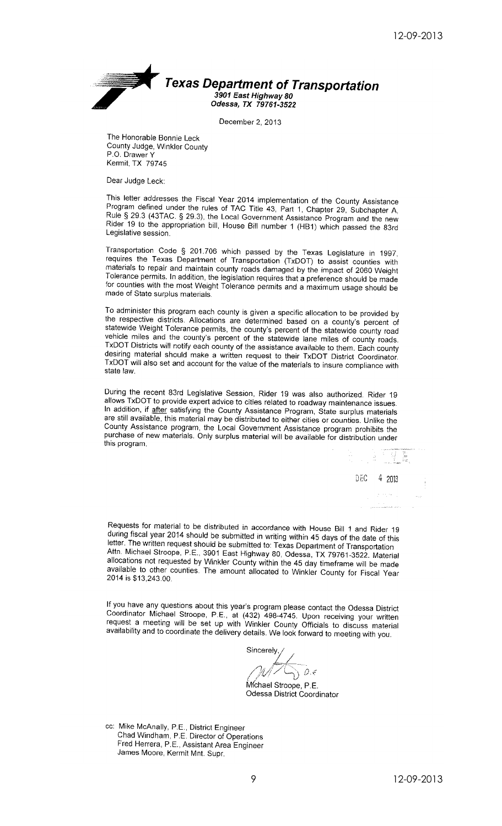

December 2, 2013

The Honorable Bonnie Leck County Judge, Winkler County P.O. Drawer Y Kermit, TX 79745

Dear Judge Leck:

This letter addresses the Fiscal Year 2014 implementation of the County Assistance Program defined under the rules of TAC Title 43, Part 1, Chapter 29, Subchapter A, Rule § 29.3 (43TAC. § 29.3), the Local Government Assistance Program and the new Rider 19 to the appropriation bill, House Bill number 1 (HB1) which passed the 83rd Legislative session.

Transportation Code § 201.706 which passed by the Texas Legislature in 1997, requires the Texas Department of Transportation (TxDOT) to assist counties with materials to repair and maintain county roads damaged by the impact of 2060 Weight Tolerance permits. In addition, the legislation requires that a preference should be made for counties with the most Weight Tolerance permits and a maximum usage should be made of State surplus materials.

To administer this program each county is given a specific allocation to be provided by the respective districts. Allocations are determined based on a county's percent of statewide Weight Tolerance permits, the county's percent of the statewide county road vehicle miles and the county's percent of the statewide lane miles of county roads. TxDOT Districts will notify each county of the assistance available to them. Each county desiring material should make a written request to their TxDOT District Coordinator. TxDOT will also set and account for the value of the materials to insure compliance with state law.

During the recent 83rd Legislative Session, Rider 19 was also authorized. Rider 19 allows TxDOT to provide expert advice to cities related to roadway maintenance issues. In addition, if after satisfying the County Assistance Program, State surplus materials are still available, this material may be distributed to either cities or counties. Unlike the County Assistance program, the Local Government Assistance program prohibits the purchase of new materials. Only surplus material will be available for distribution under this program.

> DEC 4 2013

> > $\mathcal{L}^{\mathcal{L}}$  and  $\mathcal{L}^{\mathcal{L}}$

Requests for material to be distributed in accordance with House Bill 1 and Rider 19 during fiscal year 2014 should be submitted in writing within 45 days of the date of this letter. The written request should be submitted to: Texas Department of Transportation Attn. Michael Stroope, P.E., 3901 East Highway 80, Odessa, TX 79761-3522. Material allocations not requested by Winkler County within the 45 day timeframe will be made available to other counties. The amount allocated to Winkler County for Fiscal Year 2014 is \$13,243.00.

If you have any questions about this year's program please contact the Odessa District Coordinator Michael Stroope, P.E., at (432) 498-4745. Upon receiving your written request a meeting will be set up with Winkler County Officials to discuss material availability and to coordinate the delivery details. We look forward to meeting with you.

Sincerely

 $\hat{v}$   $\hat{v}$ Michael Stroope, P.E Odessa District Coordinator

cc: Mike McAnally, P.E., District Engineer Chad Windham, P.E. Director of Operations Fred Herrera, P.E., Assistant Area Engineer James Moore, Kermit Mnt. Supr.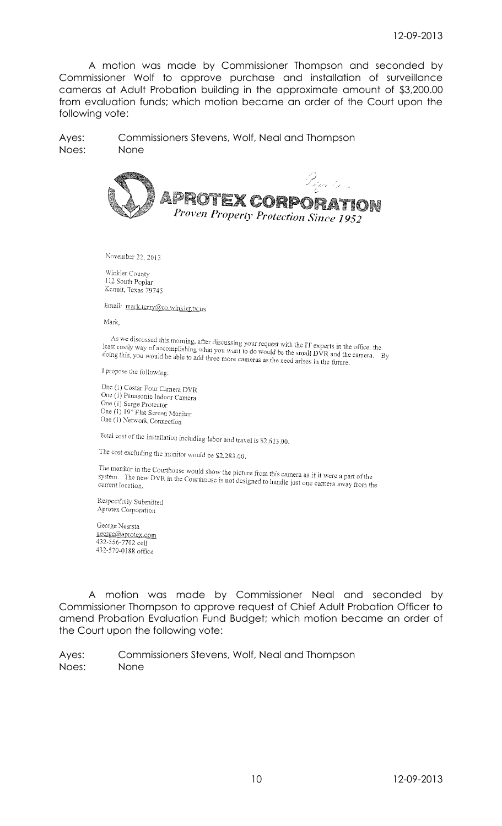A motion was made by Commissioner Thompson and seconded by Commissioner Wolf to approve purchase and installation of surveillance cameras at Adult Probation building in the approximate amount of \$3,200.00 from evaluation funds; which motion became an order of the Court upon the following vote:

Ayes: Commissioners Stevens, Wolf, Neal and Thompson Noes: None



November 22, 2013

Winkler County 112 South Poplar Kermit, Texas 79745

Email: mark.terry@co.winkler.tx.us

Mark,

As we discussed this morning, after discussing your request with the IT experts in the office, the<br>st costly way of accomplishing what you want to do would be the small NYC. the contract of the through the morning, after discussing your request with the IT experts in the office, the<br>least costly way of accomplishing what you want to do would be the small DVR and the camera. By<br>doing this, you businessly way of accomplishing what you want to do would be the small DVR and the doing this, you would be able to add three more cameras as the need arises in the future.

I propose the following:

One (1) Costar Four Camera DVR One (1) Panasonic Indoor Camera One (1) Surge Protector One (1) 19" Flat Screen Monitor One (1) Network Connection

Total cost of the installation including labor and travel is \$2,613.00.

The cost excluding the monitor would be \$2,283.00.

The monitor in the Courthouse would show the picture from this camera as if it were a part of the system. The new DVR in the Courthouse is not designed to handle just are agreed to the star moment in the Courtnouse would show the picture from this camera as if it were a part of the system. The new DVR in the Courthouse is not designed to handle just one camera away from the current location.

Respectfully Submitted Aprotex Corporation

George Nesrsta george@aprotex.com 432-556-7702 cell 432-570-0188 office

A motion was made by Commissioner Neal and seconded by Commissioner Thompson to approve request of Chief Adult Probation Officer to amend Probation Evaluation Fund Budget; which motion became an order of the Court upon the following vote: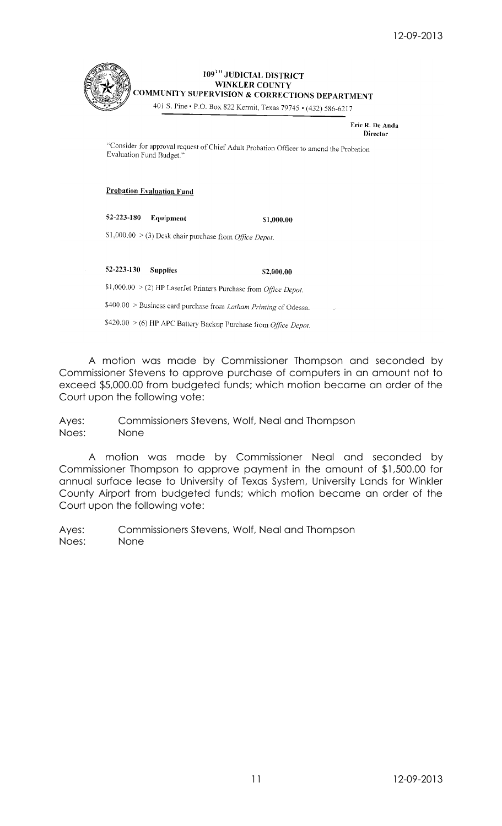

# 109<sup>TH</sup> JUDICIAL DISTRICT **WINKLER COUNTY** COMMUNITY SUPERVISION & CORRECTIONS DEPARTMENT

401 S. Pine • P.O. Box 822 Kermit, Texas 79745 • (432) 586-6217

Eric R. De Anda **Director** 

"Consider for approval request of Chief Adult Probation Officer to amend the Probation Evaluation Fund Budget."

## **Probation Evaluation Fund**

52-223-180 Equipment \$1,000.00

 $S1,000.00 > (3)$  Desk chair purchase from *Office Depot*.

52-223-130 Supplies \$2,000.00

\$1,000.00 > (2) HP LaserJet Printers Purchase from *Office Depot.* 

\$400.00 > Business card purchase from Latham Printing of Odessa.

\$420.00 > (6) HP APC Battery Backup Purchase from Office Depot.

A motion was made by Commissioner Thompson and seconded by Commissioner Stevens to approve purchase of computers in an amount not to exceed \$5,000.00 from budgeted funds; which motion became an order of the Court upon the following vote:

Ayes: Commissioners Stevens, Wolf, Neal and Thompson Noes: None

A motion was made by Commissioner Neal and seconded by Commissioner Thompson to approve payment in the amount of \$1,500.00 for annual surface lease to University of Texas System, University Lands for Winkler County Airport from budgeted funds; which motion became an order of the Court upon the following vote: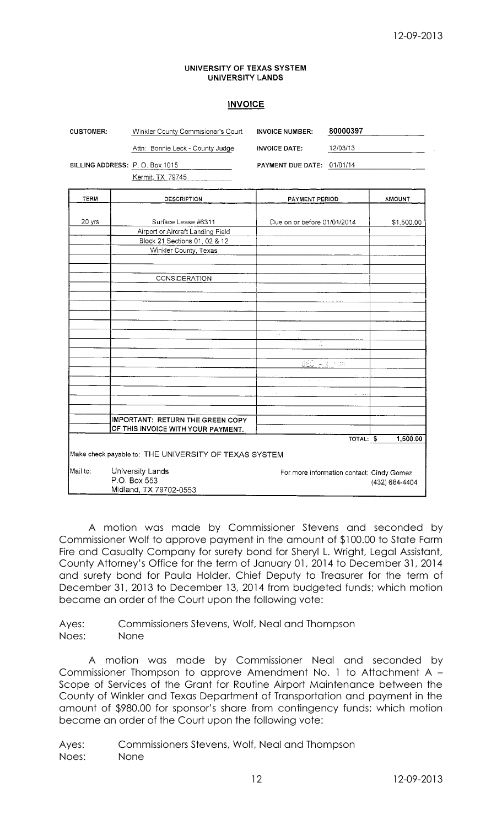## UNIVERSITY OF TEXAS SYSTEM UNIVERSITY LANDS

# **INVOICE**

| <b>CUSTOMER:</b> | Winkler County Commisioner's Court                                     | <b>INVOICE NUMBER:</b>                                | 80000397                                  |                |
|------------------|------------------------------------------------------------------------|-------------------------------------------------------|-------------------------------------------|----------------|
|                  | Attn: Bonnie Leck - County Judge                                       | <b>INVOICE DATE:</b>                                  | 12/03/13                                  |                |
|                  | BILLING ADDRESS: P.O. Box 1015                                         | PAYMENT DUE DATE: 01/01/14                            |                                           |                |
|                  | Kermit, TX 79745                                                       |                                                       |                                           |                |
| <b>TERM</b>      | <b>DESCRIPTION</b>                                                     | PAYMENT PERIOD                                        |                                           | <b>AMOUNT</b>  |
|                  |                                                                        |                                                       |                                           |                |
| 20 yrs           | Surface Lease #6311                                                    | Due on or before 01/01/2014                           |                                           | \$1,500.00     |
|                  | Airport or Aircraft Landing Field                                      |                                                       |                                           |                |
|                  | Block 21 Sections 01, 02 & 12<br>Winkler County, Texas                 |                                                       |                                           |                |
|                  | <b>CONSIDERATION</b>                                                   |                                                       |                                           |                |
|                  |                                                                        |                                                       |                                           |                |
|                  |                                                                        |                                                       |                                           |                |
|                  |                                                                        |                                                       |                                           |                |
|                  |                                                                        | $\mathbb{R}^{d}$<br>$\sim$<br>$\frac{2\pi}{\sqrt{2}}$ | $\alpha = \alpha$                         |                |
|                  |                                                                        |                                                       |                                           |                |
|                  |                                                                        | DEC - 3 mm                                            |                                           |                |
|                  |                                                                        | $\alpha_{\rm{max}}$ , and<br>u.                       |                                           |                |
|                  |                                                                        |                                                       |                                           |                |
|                  |                                                                        |                                                       |                                           |                |
|                  | IMPORTANT: RETURN THE GREEN COPY<br>OF THIS INVOICE WITH YOUR PAYMENT. |                                                       |                                           |                |
|                  |                                                                        |                                                       | TOTAL: \$                                 | 1,500.00       |
|                  | Make check payable to: THE UNIVERSITY OF TEXAS SYSTEM                  |                                                       |                                           |                |
| Mail to:         | University Lands<br>P.O. Box 553<br>Midland, TX 79702-0553             |                                                       | For more information contact: Cindy Gomez | (432) 684-4404 |

A motion was made by Commissioner Stevens and seconded by Commissioner Wolf to approve payment in the amount of \$100.00 to State Farm Fire and Casualty Company for surety bond for Sheryl L. Wright, Legal Assistant, County Attorney's Office for the term of January 01, 2014 to December 31, 2014 and surety bond for Paula Holder, Chief Deputy to Treasurer for the term of December 31, 2013 to December 13, 2014 from budgeted funds; which motion became an order of the Court upon the following vote:

Ayes: Commissioners Stevens, Wolf, Neal and Thompson Noes: None

A motion was made by Commissioner Neal and seconded by Commissioner Thompson to approve Amendment No. 1 to Attachment A – Scope of Services of the Grant for Routine Airport Maintenance between the County of Winkler and Texas Department of Transportation and payment in the amount of \$980.00 for sponsor's share from contingency funds; which motion became an order of the Court upon the following vote: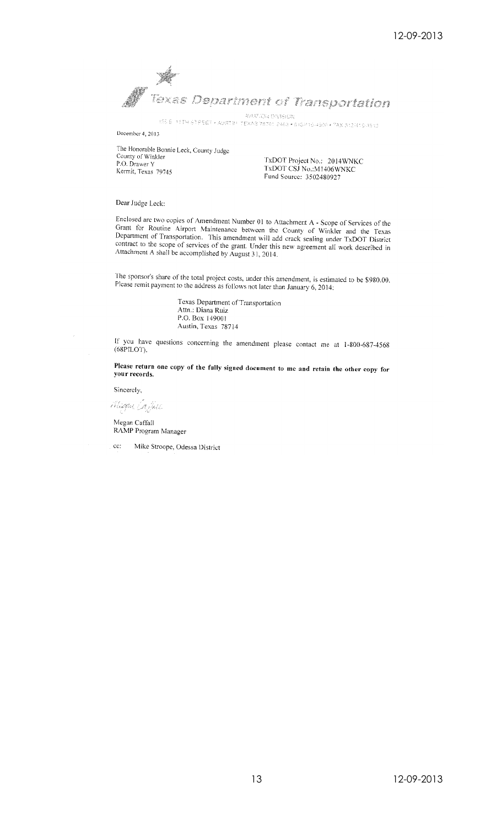Texas Department of Transportation **AVIATION DIVISION** 

135 E 11TH STREET • AUSTINI TEXAS 78701 2483 • 510/416-4589 • FAX 512/416-4510

December 4, 2013

The Honorable Bonnie Leck, County Judge County of Winkler<br>P.O. Drawer Y Kermit, Texas 79745

TxDOT Project No.: 2014WNKC<br>TxDOT CSJ No.:M1406WNKC Fund Source: 3502480927

Dear Judge Leck:

Enclosed are two copies of Amendment Number 01 to Attachment A - Scope of Services of the Grant for Routine Airport Maintenance between the County of Winkler and the Texas Department of Transportation. This amendment will contract to the scope of services of the grant. Under this new agreement all work described in Attachment A shall be accomplished by August 31, 2014.

The sponsor's share of the total project costs, under this amendment, is estimated to be \$980.00. Please remit payment to the address as follows not later than January 6, 2014:

> Texas Department of Transportation<br>Attn.: Diana Ruiz<br>P.O. Box 149001 Austin, Texas 78714

If you have questions concerning the amendment please contact me at 1-800-687-4568 (68PILOT),

Please return one copy of the fully signed document to me and retain the other copy for your records.

Sincerely,

Migga Coffee

Megan Caffall<br>RAMP Program Manager

Mike Stroope, Odessa District ce: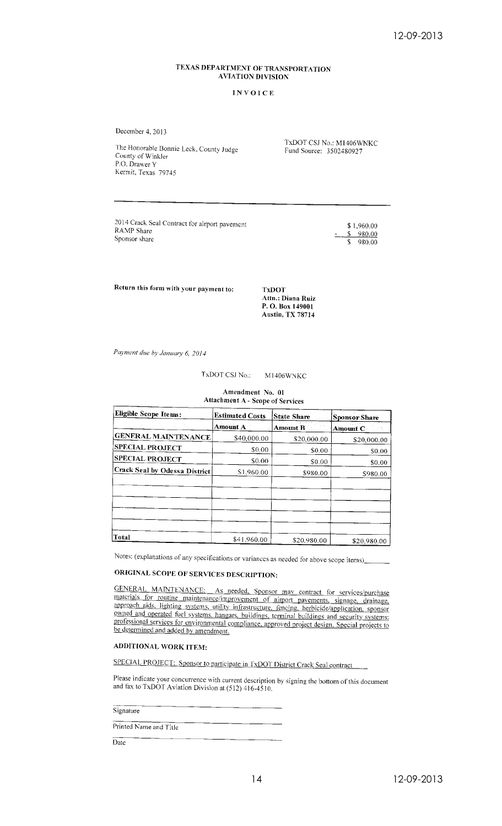## TEXAS DEPARTMENT OF TRANSPORTATION **AVIATION DIVISION**

#### **INVOICE**

December 4, 2013

The Honorable Bonnie Leck, County Judge County of Winkler P.O. Drawer Y Kermit, Texas 79745

TxDOT CSJ No.: M1406WNKC Fund Source: 3502480927

2014 Crack Seal Contract for airport pavement RAMP Share Sponsor share

 $$1,960.00$  $$980.00$  $\mathbf{S}$  $980.00$ 

Return this form with your payment to:

**TxDOT** Attn.: Diana Ruiz P. O. Box 149001 Austin, TX 78714

Payment due by January 6, 2014

TxDOT CSJ No.: M1406WNKC

Amendment No. 01 **Attachment A - Scope of Services** 

| <b>Eligible Scope Items:</b>  | <b>Estimated Costs</b> | State Share     | <b>Sponsor Share</b> |  |
|-------------------------------|------------------------|-----------------|----------------------|--|
|                               | Amount A               | <b>Amount B</b> | Amount C             |  |
| <b>GENERAL MAINTENANCE</b>    | \$40,000,00            | \$20,000.00     | \$20,000.00          |  |
| <b>SPECIAL PROJECT</b>        | \$0.00                 | \$0.00          | \$0.00               |  |
| <b>SPECIAL PROJECT</b>        | \$0.00                 | \$0.00          | \$0.00               |  |
| Crack Seal by Odessa District | \$1,960.00             | \$980.00        | \$980.00             |  |
|                               |                        |                 |                      |  |
|                               |                        |                 |                      |  |
| Total                         | \$41,960.00            | \$20,980.00     | \$20.980.00          |  |

Notes: (explanations of any specifications or variances as needed for above scope items)

## ORIGINAL SCOPE OF SERVICES DESCRIPTION:

GENERAL MAINTENANCE: As needed, Sponsor may contract for services/purchase materials for routine maintenance/improvement of airport pavements, signage, drainage, approach aids, lighting systems, utility infrastructure, fencing, herbicide/application, sponsor owned and operated fuel systems, hangars, buildings, terminal buildings and security systems: professional services for environmental compliance, approved project design. Special projects to be determined and added by amendment.

#### ADDITIONAL WORK ITEM:

SPECIAL PROJECT: Sponsor to participate in TxDOT District Crack Seal contract

Please indicate your concurrence with current description by signing the bottom of this document and fax to TxDOT Aviation Division at  $(512)$  416-4510.

#### Signature

Printed Name and Title

 $Date$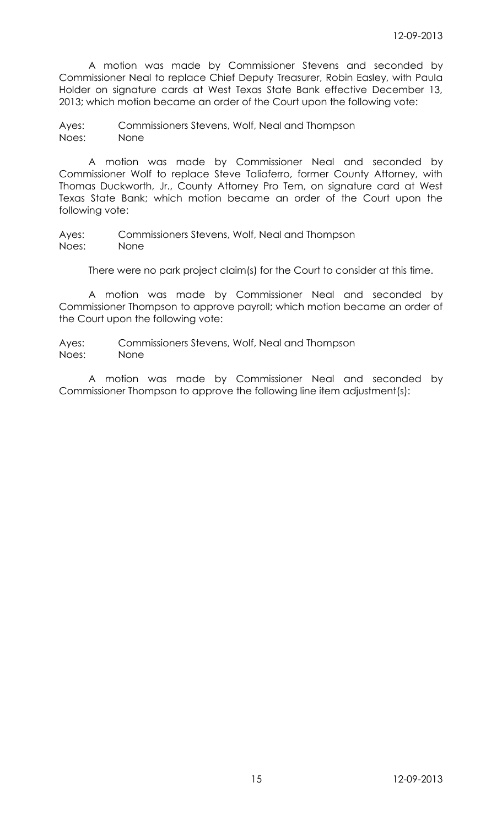A motion was made by Commissioner Stevens and seconded by Commissioner Neal to replace Chief Deputy Treasurer, Robin Easley, with Paula Holder on signature cards at West Texas State Bank effective December 13, 2013; which motion became an order of the Court upon the following vote:

Ayes: Commissioners Stevens, Wolf, Neal and Thompson Noes: None

A motion was made by Commissioner Neal and seconded by Commissioner Wolf to replace Steve Taliaferro, former County Attorney, with Thomas Duckworth, Jr., County Attorney Pro Tem, on signature card at West Texas State Bank; which motion became an order of the Court upon the following vote:

Ayes: Commissioners Stevens, Wolf, Neal and Thompson Noes: None

There were no park project claim(s) for the Court to consider at this time.

A motion was made by Commissioner Neal and seconded by Commissioner Thompson to approve payroll; which motion became an order of the Court upon the following vote:

Ayes: Commissioners Stevens, Wolf, Neal and Thompson Noes: None

A motion was made by Commissioner Neal and seconded by Commissioner Thompson to approve the following line item adjustment(s):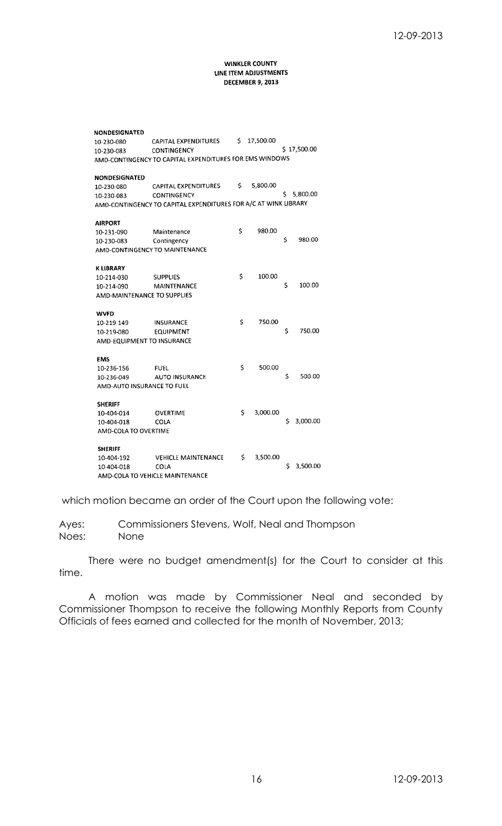#### **WINKLER COUNTY** LINE ITEM ADJUSTMENTS DECEMBER 9, 2013

| NONDESIGNATED               |                                                                 |    |           |    |             |
|-----------------------------|-----------------------------------------------------------------|----|-----------|----|-------------|
| 10-230-080                  | CAPITAL EXPENDITURES                                            | Ś. | 17,500.00 |    |             |
| 10-230-083                  | <b>CONTINGENCY</b>                                              |    |           |    | \$17,500.00 |
|                             | AMD-CONTINGENCY TO CAPITAL EXPENDITURES FOR EMS WINDOWS         |    |           |    |             |
|                             |                                                                 |    |           |    |             |
| <b>NONDESIGNATED</b>        |                                                                 |    |           |    |             |
| 10-230-080                  | CAPITAL EXPENDITURES                                            | \$ | 5,800.00  |    |             |
| 10-230-083                  | <b>CONTINGENCY</b>                                              |    |           | \$ | 5,800.00    |
|                             | AMD-CONTINGENCY TO CAPITAL EXPENDITURES FOR A/C AT WINK LIBRARY |    |           |    |             |
| <b>AIRPORT</b>              |                                                                 |    |           |    |             |
| 10-231-090                  | Maintenance                                                     | \$ | 980.00    |    |             |
| 10-230-083                  | Contingency                                                     |    |           | \$ | 980.00      |
|                             | AMD-CONTINGENCY TO MAINTENANCE                                  |    |           |    |             |
| K LIBRARY                   |                                                                 |    |           |    |             |
| 10-214-030                  | <b>SUPPLIES</b>                                                 | \$ | 100.00    |    |             |
| 10-214-090                  | <b>MAINTENANCE</b>                                              |    |           | \$ | 100.00      |
| AMD-MAINTENANCE TO SUPPLIES |                                                                 |    |           |    |             |
|                             |                                                                 |    |           |    |             |
| <b>WVFD</b>                 |                                                                 |    |           |    |             |
| 10-219-149                  | <b>INSURANCE</b>                                                | Ś  | 750.00    |    |             |
| 10-219-080                  | <b>EQUIPMENT</b>                                                |    |           | \$ | 750.00      |
| AMD-EQUIPMENT TO INSURANCE  |                                                                 |    |           |    |             |
| <b>EMS</b>                  |                                                                 |    |           |    |             |
| 10-236-156                  | <b>FUEL</b>                                                     | Ś  | 500.00    |    |             |
| 10-236-049                  | <b>AUTO INSURANCE</b>                                           |    |           | \$ | 500.00      |
| AMD-AUTO INSURANCE TO FUEL  |                                                                 |    |           |    |             |
| <b>SHERIFF</b>              |                                                                 |    |           |    |             |
| 10-404-014                  | <b>OVERTIME</b>                                                 | \$ | 3,000.00  |    |             |
| 10-404-018                  | COLA                                                            |    |           | \$ | 3,000.00    |
| AMD-COLA TO OVERTIME        |                                                                 |    |           |    |             |
| <b>SHERIFF</b>              |                                                                 |    |           |    |             |
| 10-404-192                  | <b>VEHICLE MAINTENANCE</b>                                      | Ś  | 3,500.00  |    |             |
| 10-404-018                  | COLA                                                            |    |           | S  | 3,500.00    |
|                             | AMD-COLA TO VEHICLE MAINTENANCE                                 |    |           |    |             |

which motion became an order of the Court upon the following vote:

Ayes: Commissioners Stevens, Wolf, Neal and Thompson Noes: None

There were no budget amendment(s) for the Court to consider at this time.

A motion was made by Commissioner Neal and seconded by Commissioner Thompson to receive the following Monthly Reports from County Officials of fees earned and collected for the month of November, 2013;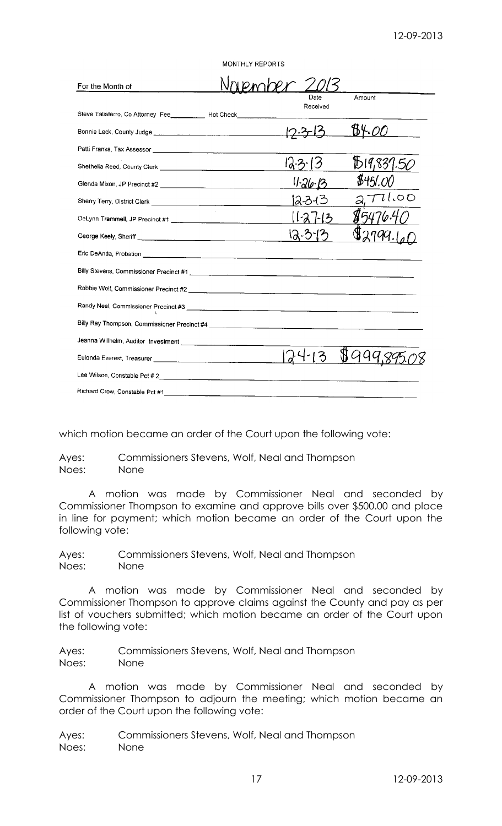|                                                                              | <b>MONTHLY REPORTS</b> |                  |               |
|------------------------------------------------------------------------------|------------------------|------------------|---------------|
| For the Month of                                                             |                        |                  |               |
| Steve Taliaferro, Co Attorney Fee _________ Hot Check____________            |                        | Date<br>Received | Amount        |
|                                                                              |                        |                  | B4. <i>00</i> |
|                                                                              |                        |                  |               |
|                                                                              |                        |                  | D19,837.50    |
|                                                                              |                        | 11.26.13         | \$451.0       |
|                                                                              |                        | 12-3-13          | 771.00        |
|                                                                              |                        | $-12$            |               |
|                                                                              |                        | $12 - 3 - 13$    |               |
|                                                                              |                        |                  |               |
| Billy Stevens, Commissioner Precinct #1 <b>Commissioner Precinct #1</b> 2004 |                        |                  |               |
|                                                                              |                        |                  |               |
|                                                                              |                        |                  |               |
|                                                                              |                        |                  |               |
| Jeanna Willhelm, Auditor Investment [Continuum content]                      |                        |                  |               |
|                                                                              |                        |                  |               |
|                                                                              |                        |                  |               |
|                                                                              |                        |                  |               |

which motion became an order of the Court upon the following vote:

Ayes: Commissioners Stevens, Wolf, Neal and Thompson Noes: None

A motion was made by Commissioner Neal and seconded by Commissioner Thompson to examine and approve bills over \$500.00 and place in line for payment; which motion became an order of the Court upon the following vote:

Ayes: Commissioners Stevens, Wolf, Neal and Thompson Noes: None

A motion was made by Commissioner Neal and seconded by Commissioner Thompson to approve claims against the County and pay as per list of vouchers submitted; which motion became an order of the Court upon the following vote:

Ayes: Commissioners Stevens, Wolf, Neal and Thompson Noes: None

A motion was made by Commissioner Neal and seconded by Commissioner Thompson to adjourn the meeting; which motion became an order of the Court upon the following vote: